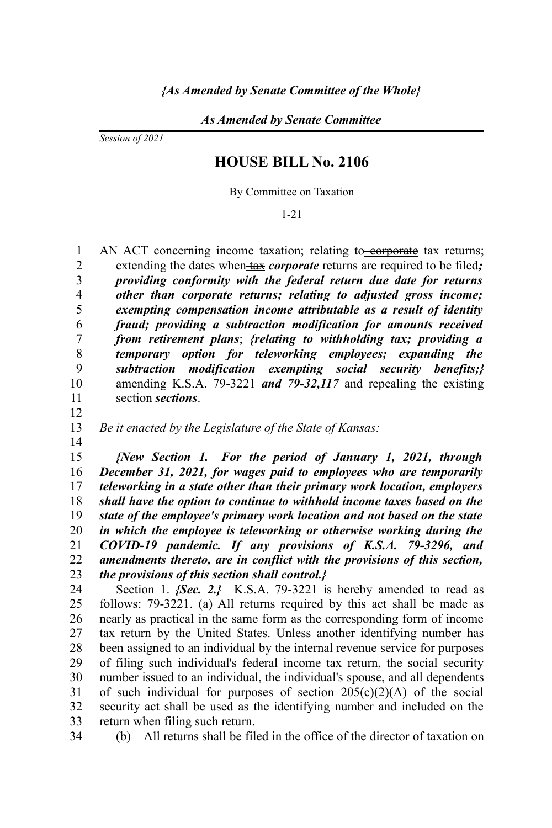*As Amended by Senate Committee*

*Session of 2021*

## **HOUSE BILL No. 2106**

By Committee on Taxation

1-21

AN ACT concerning income taxation; relating to corporate tax returns; extending the dates when tax *corporate* returns are required to be filed; *providing conformity with the federal return due date for returns other than corporate returns; relating to adjusted gross income; exempting compensation income attributable as a result of identity fraud; providing a subtraction modification for amounts received from retirement plans*; *{relating to withholding tax; providing a temporary option for teleworking employees; expanding the subtraction modification exempting social security benefits;}* amending K.S.A. 79-3221 *and 79-32,117* and repealing the existing section *sections*. 1  $\overline{2}$ 3 4 5 6 7 8 9 10 11

*Be it enacted by the Legislature of the State of Kansas:* 13

14

12

*{New Section 1. For the period of January 1, 2021, through December 31, 2021, for wages paid to employees who are temporarily teleworking in a state other than their primary work location, employers shall have the option to continue to withhold income taxes based on the state of the employee's primary work location and not based on the state in which the employee is teleworking or otherwise working during the COVID-19 pandemic. If any provisions of K.S.A. 79-3296, and amendments thereto, are in conflict with the provisions of this section, the provisions of this section shall control.}* 15 16 17 18 19 20 21 22 23

Section 1. *{Sec. 2.}* K.S.A. 79-3221 is hereby amended to read as follows: 79-3221. (a) All returns required by this act shall be made as nearly as practical in the same form as the corresponding form of income tax return by the United States. Unless another identifying number has been assigned to an individual by the internal revenue service for purposes of filing such individual's federal income tax return, the social security number issued to an individual, the individual's spouse, and all dependents of such individual for purposes of section  $205(c)(2)(A)$  of the social security act shall be used as the identifying number and included on the return when filing such return. 24 25 26 27 28 29 30 31 32 33

34

(b) All returns shall be filed in the office of the director of taxation on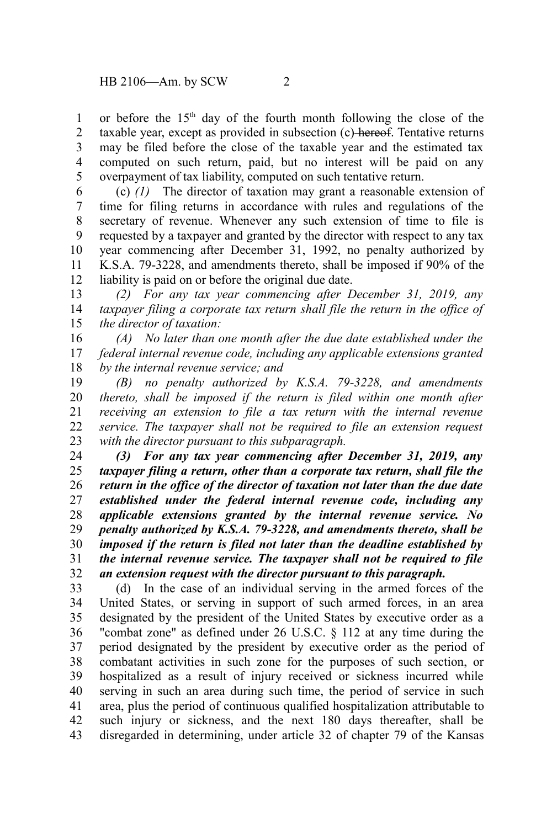or before the 15<sup>th</sup> day of the fourth month following the close of the taxable year, except as provided in subsection (c) hereof. Tentative returns may be filed before the close of the taxable year and the estimated tax computed on such return, paid, but no interest will be paid on any overpayment of tax liability, computed on such tentative return. 1 2 3 4 5

(c) *(1)* The director of taxation may grant a reasonable extension of time for filing returns in accordance with rules and regulations of the secretary of revenue. Whenever any such extension of time to file is requested by a taxpayer and granted by the director with respect to any tax year commencing after December 31, 1992, no penalty authorized by K.S.A. 79-3228, and amendments thereto, shall be imposed if 90% of the liability is paid on or before the original due date. 6 7 8 9 10 11 12

*(2) For any tax year commencing after December 31, 2019, any taxpayer filing a corporate tax return shall file the return in the office of the director of taxation:* 13 14 15

*(A) No later than one month after the due date established under the federal internal revenue code, including any applicable extensions granted by the internal revenue service; and* 16 17 18

*(B) no penalty authorized by K.S.A. 79-3228, and amendments thereto, shall be imposed if the return is filed within one month after receiving an extension to file a tax return with the internal revenue service. The taxpayer shall not be required to file an extension request with the director pursuant to this subparagraph.* 19 20 21 22 23

*(3) For any tax year commencing after December 31, 2019, any taxpayer filing a return, other than a corporate tax return, shall file the return in the office of the director of taxation not later than the due date established under the federal internal revenue code, including any applicable extensions granted by the internal revenue service. No penalty authorized by K.S.A. 79-3228, and amendments thereto, shall be imposed if the return is filed not later than the deadline established by the internal revenue service. The taxpayer shall not be required to file an extension request with the director pursuant to this paragraph.* 24 25 26 27 28 29 30 31 32

(d) In the case of an individual serving in the armed forces of the United States, or serving in support of such armed forces, in an area designated by the president of the United States by executive order as a "combat zone" as defined under 26 U.S.C. § 112 at any time during the period designated by the president by executive order as the period of combatant activities in such zone for the purposes of such section, or hospitalized as a result of injury received or sickness incurred while serving in such an area during such time, the period of service in such area, plus the period of continuous qualified hospitalization attributable to such injury or sickness, and the next 180 days thereafter, shall be disregarded in determining, under article 32 of chapter 79 of the Kansas 33 34 35 36 37 38 39 40 41 42 43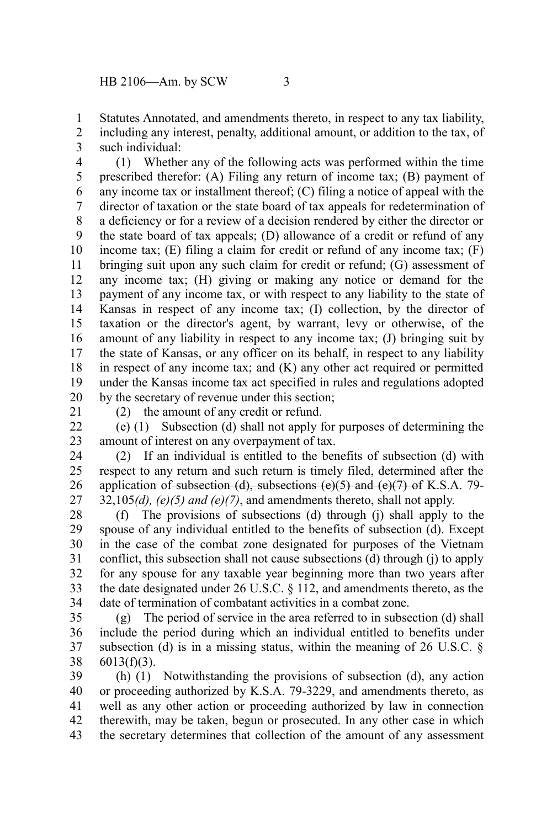Statutes Annotated, and amendments thereto, in respect to any tax liability, including any interest, penalty, additional amount, or addition to the tax, of such individual: 1 2 3

(1) Whether any of the following acts was performed within the time prescribed therefor: (A) Filing any return of income tax; (B) payment of any income tax or installment thereof; (C) filing a notice of appeal with the director of taxation or the state board of tax appeals for redetermination of a deficiency or for a review of a decision rendered by either the director or the state board of tax appeals; (D) allowance of a credit or refund of any income tax;  $(E)$  filing a claim for credit or refund of any income tax;  $(F)$ bringing suit upon any such claim for credit or refund; (G) assessment of any income tax; (H) giving or making any notice or demand for the payment of any income tax, or with respect to any liability to the state of Kansas in respect of any income tax; (I) collection, by the director of taxation or the director's agent, by warrant, levy or otherwise, of the amount of any liability in respect to any income tax; (J) bringing suit by the state of Kansas, or any officer on its behalf, in respect to any liability in respect of any income tax; and (K) any other act required or permitted under the Kansas income tax act specified in rules and regulations adopted by the secretary of revenue under this section; 4 5 6 7 8 9 10 11 12 13 14 15 16 17 18 19 20

21

(2) the amount of any credit or refund.

(e) (1) Subsection (d) shall not apply for purposes of determining the amount of interest on any overpayment of tax. 22 23

(2) If an individual is entitled to the benefits of subsection (d) with respect to any return and such return is timely filed, determined after the application of subsection (d), subsections  $(e)(5)$  and  $(e)(7)$  of K.S.A. 79- $32,105(d)$ ,  $(e)(5)$  and  $(e)(7)$ , and amendments thereto, shall not apply. 24 25 26 27

(f) The provisions of subsections (d) through (j) shall apply to the spouse of any individual entitled to the benefits of subsection (d). Except in the case of the combat zone designated for purposes of the Vietnam conflict, this subsection shall not cause subsections (d) through (j) to apply for any spouse for any taxable year beginning more than two years after the date designated under 26 U.S.C. § 112, and amendments thereto, as the date of termination of combatant activities in a combat zone. 28 29 30 31 32 33 34

(g) The period of service in the area referred to in subsection (d) shall include the period during which an individual entitled to benefits under subsection (d) is in a missing status, within the meaning of  $26 \text{ U.S.C. }$ §  $6013(f)(3)$ . 35 36 37 38

(h) (1) Notwithstanding the provisions of subsection (d), any action or proceeding authorized by K.S.A. 79-3229, and amendments thereto, as well as any other action or proceeding authorized by law in connection therewith, may be taken, begun or prosecuted. In any other case in which the secretary determines that collection of the amount of any assessment 39 40 41 42 43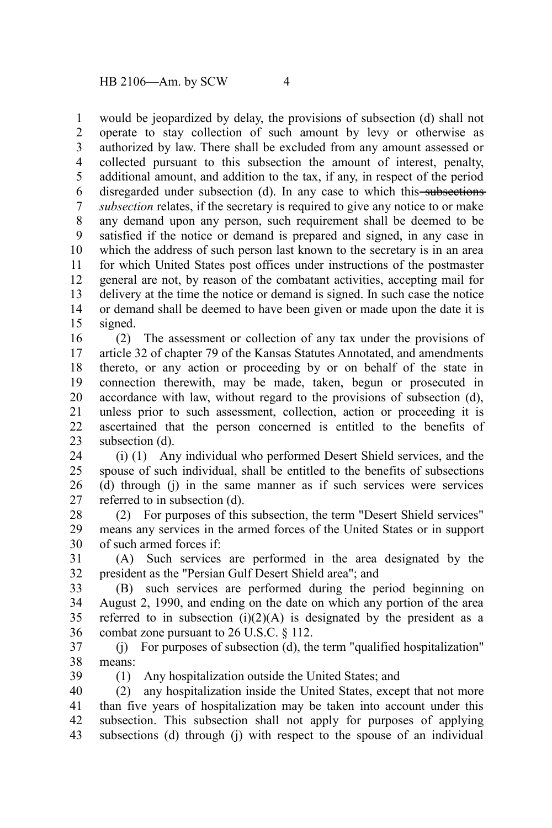would be jeopardized by delay, the provisions of subsection (d) shall not operate to stay collection of such amount by levy or otherwise as authorized by law. There shall be excluded from any amount assessed or collected pursuant to this subsection the amount of interest, penalty, additional amount, and addition to the tax, if any, in respect of the period disregarded under subsection (d). In any case to which this subsections *subsection* relates, if the secretary is required to give any notice to or make any demand upon any person, such requirement shall be deemed to be satisfied if the notice or demand is prepared and signed, in any case in which the address of such person last known to the secretary is in an area for which United States post offices under instructions of the postmaster general are not, by reason of the combatant activities, accepting mail for delivery at the time the notice or demand is signed. In such case the notice or demand shall be deemed to have been given or made upon the date it is signed. 1 2 3 4 5 6 7 8 9 10 11 12 13 14 15

(2) The assessment or collection of any tax under the provisions of article 32 of chapter 79 of the Kansas Statutes Annotated, and amendments thereto, or any action or proceeding by or on behalf of the state in connection therewith, may be made, taken, begun or prosecuted in accordance with law, without regard to the provisions of subsection (d), unless prior to such assessment, collection, action or proceeding it is ascertained that the person concerned is entitled to the benefits of subsection (d). 16 17 18 19 20 21 22 23

(i) (1) Any individual who performed Desert Shield services, and the spouse of such individual, shall be entitled to the benefits of subsections (d) through (j) in the same manner as if such services were services referred to in subsection (d). 24 25 26 27

(2) For purposes of this subsection, the term "Desert Shield services" means any services in the armed forces of the United States or in support of such armed forces if: 28 29 30

(A) Such services are performed in the area designated by the president as the "Persian Gulf Desert Shield area"; and 31 32

(B) such services are performed during the period beginning on August 2, 1990, and ending on the date on which any portion of the area referred to in subsection  $(i)(2)(A)$  is designated by the president as a combat zone pursuant to 26 U.S.C. § 112. 33 34 35 36

(j) For purposes of subsection (d), the term "qualified hospitalization" means: 37 38

39

(1) Any hospitalization outside the United States; and

(2) any hospitalization inside the United States, except that not more than five years of hospitalization may be taken into account under this subsection. This subsection shall not apply for purposes of applying subsections (d) through (j) with respect to the spouse of an individual 40 41 42 43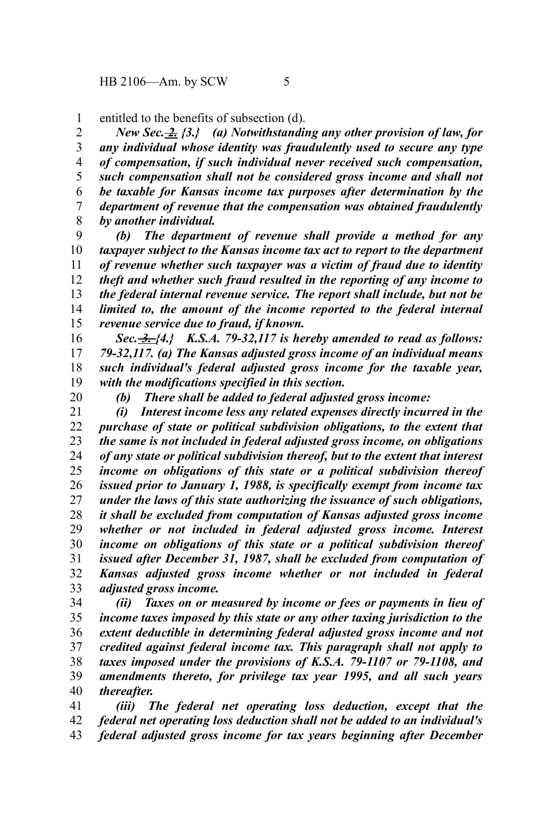entitled to the benefits of subsection (d). 1

*New Sec. 2. {3.} (a) Notwithstanding any other provision of law, for any individual whose identity was fraudulently used to secure any type of compensation, if such individual never received such compensation, such compensation shall not be considered gross income and shall not be taxable for Kansas income tax purposes after determination by the department of revenue that the compensation was obtained fraudulently by another individual.* 2 3 4 5 6 7 8

*(b) The department of revenue shall provide a method for any taxpayer subject to the Kansas income tax act to report to the department of revenue whether such taxpayer was a victim of fraud due to identity theft and whether such fraud resulted in the reporting of any income to the federal internal revenue service. The report shall include, but not be limited to, the amount of the income reported to the federal internal revenue service due to fraud, if known.* 9 10 11 12 13 14 15

*Sec. 3. {4.} K.S.A. 79-32,117 is hereby amended to read as follows: 79-32,117. (a) The Kansas adjusted gross income of an individual means such individual's federal adjusted gross income for the taxable year, with the modifications specified in this section.* 16 17 18 19

20

*(b) There shall be added to federal adjusted gross income:*

*(i) Interest income less any related expenses directly incurred in the purchase of state or political subdivision obligations, to the extent that the same is not included in federal adjusted gross income, on obligations of any state or political subdivision thereof, but to the extent that interest income on obligations of this state or a political subdivision thereof issued prior to January 1, 1988, is specifically exempt from income tax under the laws of this state authorizing the issuance of such obligations, it shall be excluded from computation of Kansas adjusted gross income whether or not included in federal adjusted gross income. Interest income on obligations of this state or a political subdivision thereof issued after December 31, 1987, shall be excluded from computation of Kansas adjusted gross income whether or not included in federal adjusted gross income.* 21 22 23 24 25 26 27 28 29 30 31 32 33

*(ii) Taxes on or measured by income or fees or payments in lieu of income taxes imposed by this state or any other taxing jurisdiction to the extent deductible in determining federal adjusted gross income and not credited against federal income tax. This paragraph shall not apply to taxes imposed under the provisions of K.S.A. 79-1107 or 79-1108, and amendments thereto, for privilege tax year 1995, and all such years thereafter.* 34 35 36 37 38 39 40

*(iii) The federal net operating loss deduction, except that the federal net operating loss deduction shall not be added to an individual's federal adjusted gross income for tax years beginning after December* 41 42 43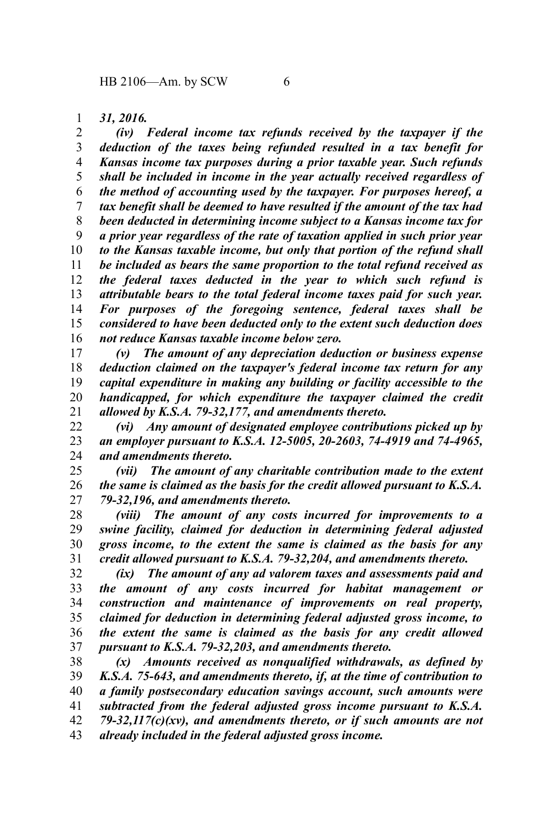## *31, 2016.* 1

*(iv) Federal income tax refunds received by the taxpayer if the deduction of the taxes being refunded resulted in a tax benefit for Kansas income tax purposes during a prior taxable year. Such refunds shall be included in income in the year actually received regardless of the method of accounting used by the taxpayer. For purposes hereof, a tax benefit shall be deemed to have resulted if the amount of the tax had been deducted in determining income subject to a Kansas income tax for a prior year regardless of the rate of taxation applied in such prior year to the Kansas taxable income, but only that portion of the refund shall be included as bears the same proportion to the total refund received as the federal taxes deducted in the year to which such refund is attributable bears to the total federal income taxes paid for such year. For purposes of the foregoing sentence, federal taxes shall be considered to have been deducted only to the extent such deduction does not reduce Kansas taxable income below zero.* 2 3 4 5 6 7 8 9 10 11 12 13 14 15 16

*(v) The amount of any depreciation deduction or business expense deduction claimed on the taxpayer's federal income tax return for any capital expenditure in making any building or facility accessible to the handicapped, for which expenditure the taxpayer claimed the credit allowed by K.S.A. 79-32,177, and amendments thereto.* 17 18 19 20 21

*(vi) Any amount of designated employee contributions picked up by an employer pursuant to K.S.A. 12-5005, 20-2603, 74-4919 and 74-4965, and amendments thereto.* 22 23 24

*(vii) The amount of any charitable contribution made to the extent the same is claimed as the basis for the credit allowed pursuant to K.S.A. 79-32,196, and amendments thereto.* 25 26 27

*(viii) The amount of any costs incurred for improvements to a swine facility, claimed for deduction in determining federal adjusted gross income, to the extent the same is claimed as the basis for any credit allowed pursuant to K.S.A. 79-32,204, and amendments thereto.* 28 29 30 31

*(ix) The amount of any ad valorem taxes and assessments paid and the amount of any costs incurred for habitat management or construction and maintenance of improvements on real property, claimed for deduction in determining federal adjusted gross income, to the extent the same is claimed as the basis for any credit allowed pursuant to K.S.A. 79-32,203, and amendments thereto.* 32 33 34 35 36 37

*(x) Amounts received as nonqualified withdrawals, as defined by K.S.A. 75-643, and amendments thereto, if, at the time of contribution to a family postsecondary education savings account, such amounts were subtracted from the federal adjusted gross income pursuant to K.S.A. 79-32,117(c)(xv), and amendments thereto, or if such amounts are not already included in the federal adjusted gross income.* 38 39 40 41 42 43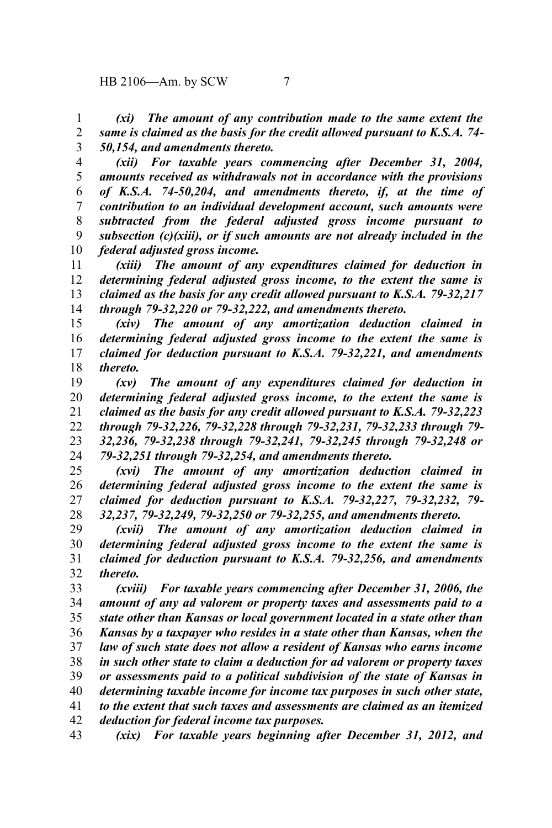*(xi) The amount of any contribution made to the same extent the same is claimed as the basis for the credit allowed pursuant to K.S.A. 74- 50,154, and amendments thereto.* 1 2 3

*(xii) For taxable years commencing after December 31, 2004, amounts received as withdrawals not in accordance with the provisions of K.S.A. 74-50,204, and amendments thereto, if, at the time of contribution to an individual development account, such amounts were subtracted from the federal adjusted gross income pursuant to subsection (c)(xiii), or if such amounts are not already included in the federal adjusted gross income.* 4 5 6 7 8 9 10

*(xiii) The amount of any expenditures claimed for deduction in determining federal adjusted gross income, to the extent the same is claimed as the basis for any credit allowed pursuant to K.S.A. 79-32,217 through 79-32,220 or 79-32,222, and amendments thereto.* 11 12 13 14

*(xiv) The amount of any amortization deduction claimed in determining federal adjusted gross income to the extent the same is claimed for deduction pursuant to K.S.A. 79-32,221, and amendments thereto.* 15 16 17 18

*(xv) The amount of any expenditures claimed for deduction in determining federal adjusted gross income, to the extent the same is claimed as the basis for any credit allowed pursuant to K.S.A. 79-32,223 through 79-32,226, 79-32,228 through 79-32,231, 79-32,233 through 79- 32,236, 79-32,238 through 79-32,241, 79-32,245 through 79-32,248 or 79-32,251 through 79-32,254, and amendments thereto.* 19 20 21 22 23 24

*(xvi) The amount of any amortization deduction claimed in determining federal adjusted gross income to the extent the same is claimed for deduction pursuant to K.S.A. 79-32,227, 79-32,232, 79- 32,237, 79-32,249, 79-32,250 or 79-32,255, and amendments thereto.* 25 26 27 28

*(xvii) The amount of any amortization deduction claimed in determining federal adjusted gross income to the extent the same is claimed for deduction pursuant to K.S.A. 79-32,256, and amendments thereto.* 29 30 31 32

*(xviii) For taxable years commencing after December 31, 2006, the amount of any ad valorem or property taxes and assessments paid to a state other than Kansas or local government located in a state other than Kansas by a taxpayer who resides in a state other than Kansas, when the law of such state does not allow a resident of Kansas who earns income in such other state to claim a deduction for ad valorem or property taxes or assessments paid to a political subdivision of the state of Kansas in determining taxable income for income tax purposes in such other state, to the extent that such taxes and assessments are claimed as an itemized deduction for federal income tax purposes.* 33 34 35 36 37 38 39 40 41 42

*(xix) For taxable years beginning after December 31, 2012, and* 43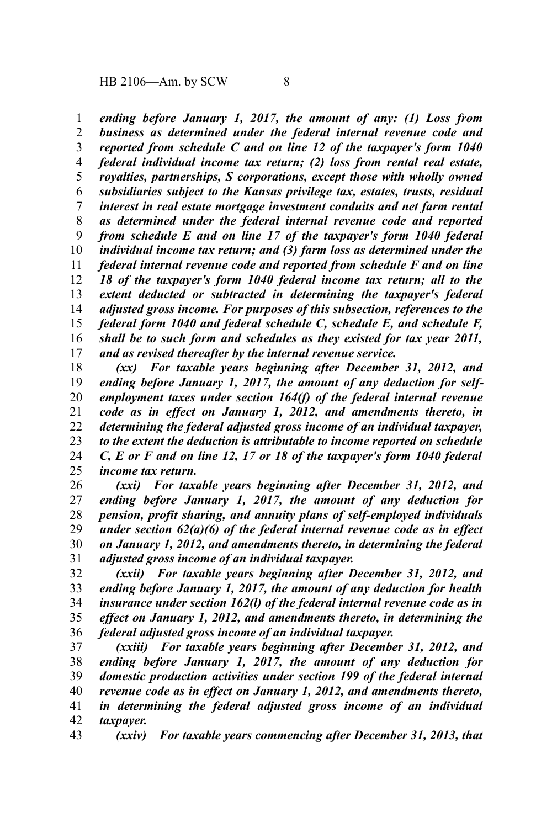*ending before January 1, 2017, the amount of any: (1) Loss from business as determined under the federal internal revenue code and reported from schedule C and on line 12 of the taxpayer's form 1040 federal individual income tax return; (2) loss from rental real estate, royalties, partnerships, S corporations, except those with wholly owned subsidiaries subject to the Kansas privilege tax, estates, trusts, residual interest in real estate mortgage investment conduits and net farm rental as determined under the federal internal revenue code and reported from schedule E and on line 17 of the taxpayer's form 1040 federal individual income tax return; and (3) farm loss as determined under the federal internal revenue code and reported from schedule F and on line 18 of the taxpayer's form 1040 federal income tax return; all to the extent deducted or subtracted in determining the taxpayer's federal adjusted gross income. For purposes of this subsection, references to the federal form 1040 and federal schedule C, schedule E, and schedule F, shall be to such form and schedules as they existed for tax year 2011, and as revised thereafter by the internal revenue service.* 1 2 3 4 5 6 7 8 9 10 11 12 13 14 15 16 17

*(xx) For taxable years beginning after December 31, 2012, and ending before January 1, 2017, the amount of any deduction for selfemployment taxes under section 164(f) of the federal internal revenue code as in effect on January 1, 2012, and amendments thereto, in determining the federal adjusted gross income of an individual taxpayer, to the extent the deduction is attributable to income reported on schedule C, E or F and on line 12, 17 or 18 of the taxpayer's form 1040 federal income tax return.* 18 19 20 21 22 23 24 25

*(xxi) For taxable years beginning after December 31, 2012, and ending before January 1, 2017, the amount of any deduction for pension, profit sharing, and annuity plans of self-employed individuals under section 62(a)(6) of the federal internal revenue code as in effect on January 1, 2012, and amendments thereto, in determining the federal adjusted gross income of an individual taxpayer.* 26 27 28 29 30 31

*(xxii) For taxable years beginning after December 31, 2012, and ending before January 1, 2017, the amount of any deduction for health insurance under section 162(l) of the federal internal revenue code as in effect on January 1, 2012, and amendments thereto, in determining the federal adjusted gross income of an individual taxpayer.* 32 33 34 35 36

*(xxiii) For taxable years beginning after December 31, 2012, and ending before January 1, 2017, the amount of any deduction for domestic production activities under section 199 of the federal internal revenue code as in effect on January 1, 2012, and amendments thereto, in determining the federal adjusted gross income of an individual taxpayer.* 37 38 39 40 41 42

*(xxiv) For taxable years commencing after December 31, 2013, that* 43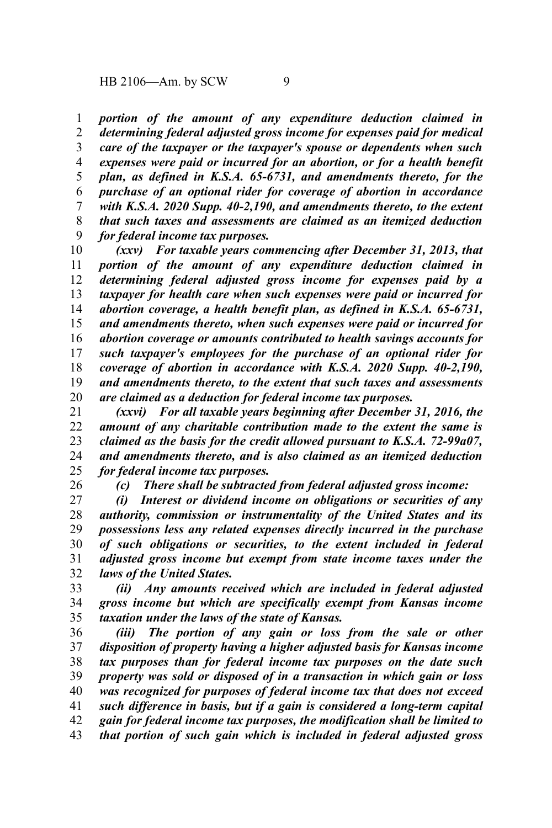*portion of the amount of any expenditure deduction claimed in determining federal adjusted gross income for expenses paid for medical care of the taxpayer or the taxpayer's spouse or dependents when such expenses were paid or incurred for an abortion, or for a health benefit plan, as defined in K.S.A. 65-6731, and amendments thereto, for the purchase of an optional rider for coverage of abortion in accordance with K.S.A. 2020 Supp. 40-2,190, and amendments thereto, to the extent that such taxes and assessments are claimed as an itemized deduction for federal income tax purposes.* 1 2 3 4 5 6 7 8 9

*(xxv) For taxable years commencing after December 31, 2013, that portion of the amount of any expenditure deduction claimed in determining federal adjusted gross income for expenses paid by a taxpayer for health care when such expenses were paid or incurred for abortion coverage, a health benefit plan, as defined in K.S.A. 65-6731, and amendments thereto, when such expenses were paid or incurred for abortion coverage or amounts contributed to health savings accounts for such taxpayer's employees for the purchase of an optional rider for coverage of abortion in accordance with K.S.A. 2020 Supp. 40-2,190, and amendments thereto, to the extent that such taxes and assessments are claimed as a deduction for federal income tax purposes.* 10 11 12 13 14 15 16 17 18 19 20

*(xxvi) For all taxable years beginning after December 31, 2016, the amount of any charitable contribution made to the extent the same is claimed as the basis for the credit allowed pursuant to K.S.A. 72-99a07, and amendments thereto, and is also claimed as an itemized deduction for federal income tax purposes.* 21 22 23 24 25

26

*(c) There shall be subtracted from federal adjusted gross income:*

*(i) Interest or dividend income on obligations or securities of any authority, commission or instrumentality of the United States and its possessions less any related expenses directly incurred in the purchase of such obligations or securities, to the extent included in federal adjusted gross income but exempt from state income taxes under the laws of the United States.* 27 28 29 30 31 32

*(ii) Any amounts received which are included in federal adjusted gross income but which are specifically exempt from Kansas income taxation under the laws of the state of Kansas.* 33 34 35

*(iii) The portion of any gain or loss from the sale or other disposition of property having a higher adjusted basis for Kansas income tax purposes than for federal income tax purposes on the date such property was sold or disposed of in a transaction in which gain or loss was recognized for purposes of federal income tax that does not exceed such difference in basis, but if a gain is considered a long-term capital gain for federal income tax purposes, the modification shall be limited to that portion of such gain which is included in federal adjusted gross* 36 37 38 39 40 41 42 43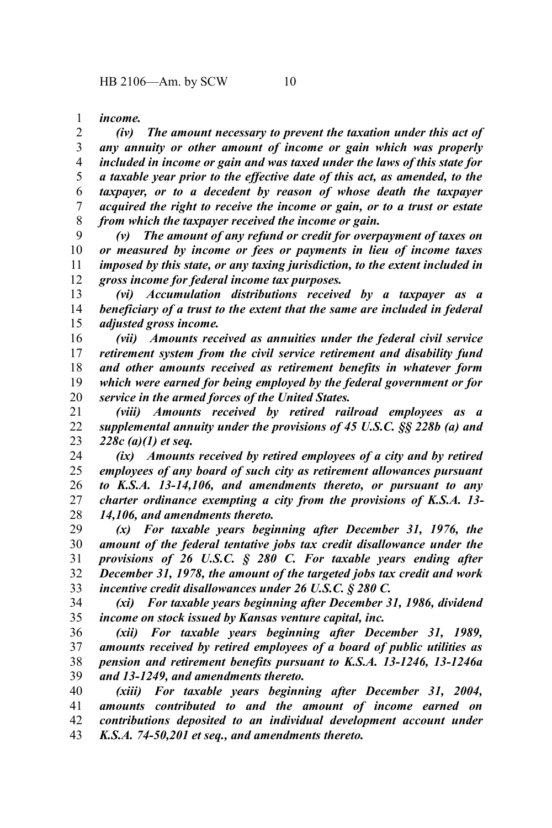*income.* 1

*(iv) The amount necessary to prevent the taxation under this act of any annuity or other amount of income or gain which was properly included in income or gain and was taxed under the laws of this state for a taxable year prior to the effective date of this act, as amended, to the taxpayer, or to a decedent by reason of whose death the taxpayer acquired the right to receive the income or gain, or to a trust or estate from which the taxpayer received the income or gain.* 2 3 4 5 6 7 8

*(v) The amount of any refund or credit for overpayment of taxes on or measured by income or fees or payments in lieu of income taxes imposed by this state, or any taxing jurisdiction, to the extent included in gross income for federal income tax purposes.* 9 10 11 12

*(vi) Accumulation distributions received by a taxpayer as a beneficiary of a trust to the extent that the same are included in federal adjusted gross income.* 13 14 15

*(vii) Amounts received as annuities under the federal civil service retirement system from the civil service retirement and disability fund and other amounts received as retirement benefits in whatever form which were earned for being employed by the federal government or for service in the armed forces of the United States.* 16 17 18 19 20

*(viii) Amounts received by retired railroad employees as a supplemental annuity under the provisions of 45 U.S.C. §§ 228b (a) and 228c (a)(1) et seq.* 21 22 23

*(ix) Amounts received by retired employees of a city and by retired employees of any board of such city as retirement allowances pursuant to K.S.A. 13-14,106, and amendments thereto, or pursuant to any charter ordinance exempting a city from the provisions of K.S.A. 13- 14,106, and amendments thereto.* 24 25 26 27 28

*(x) For taxable years beginning after December 31, 1976, the amount of the federal tentative jobs tax credit disallowance under the provisions of 26 U.S.C. § 280 C. For taxable years ending after December 31, 1978, the amount of the targeted jobs tax credit and work incentive credit disallowances under 26 U.S.C. § 280 C.* 29 30 31 32 33

*(xi) For taxable years beginning after December 31, 1986, dividend income on stock issued by Kansas venture capital, inc.* 34 35

*(xii) For taxable years beginning after December 31, 1989, amounts received by retired employees of a board of public utilities as pension and retirement benefits pursuant to K.S.A. 13-1246, 13-1246a and 13-1249, and amendments thereto.* 36 37 38 39

*(xiii) For taxable years beginning after December 31, 2004, amounts contributed to and the amount of income earned on contributions deposited to an individual development account under K.S.A. 74-50,201 et seq., and amendments thereto.* 40 41 42 43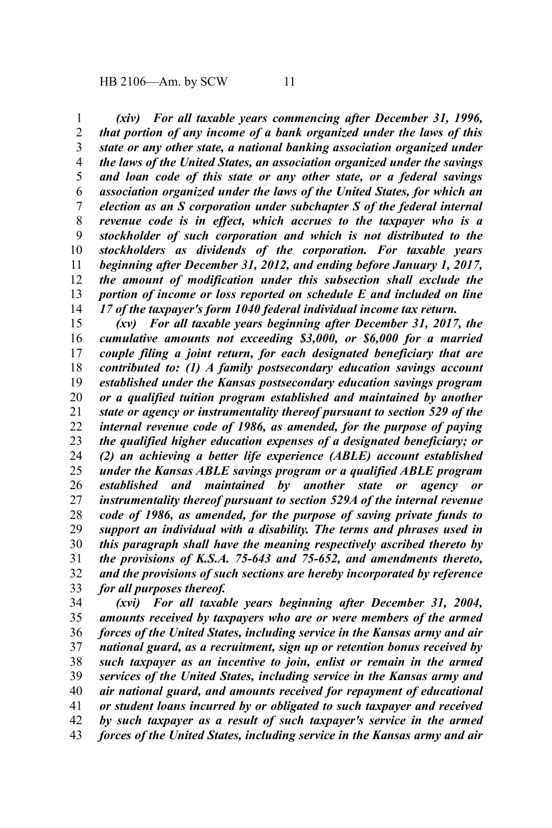*(xiv) For all taxable years commencing after December 31, 1996, that portion of any income of a bank organized under the laws of this state or any other state, a national banking association organized under the laws of the United States, an association organized under the savings and loan code of this state or any other state, or a federal savings association organized under the laws of the United States, for which an election as an S corporation under subchapter S of the federal internal revenue code is in effect, which accrues to the taxpayer who is a stockholder of such corporation and which is not distributed to the stockholders as dividends of the corporation. For taxable years beginning after December 31, 2012, and ending before January 1, 2017, the amount of modification under this subsection shall exclude the portion of income or loss reported on schedule E and included on line 17 of the taxpayer's form 1040 federal individual income tax return.* 1 2 3 4 5 6 7 8 9 10 11 12 13 14

*(xv) For all taxable years beginning after December 31, 2017, the cumulative amounts not exceeding \$3,000, or \$6,000 for a married couple filing a joint return, for each designated beneficiary that are contributed to: (1) A family postsecondary education savings account established under the Kansas postsecondary education savings program or a qualified tuition program established and maintained by another state or agency or instrumentality thereof pursuant to section 529 of the internal revenue code of 1986, as amended, for the purpose of paying the qualified higher education expenses of a designated beneficiary; or (2) an achieving a better life experience (ABLE) account established under the Kansas ABLE savings program or a qualified ABLE program established and maintained by another state or agency or instrumentality thereof pursuant to section 529A of the internal revenue code of 1986, as amended, for the purpose of saving private funds to support an individual with a disability. The terms and phrases used in this paragraph shall have the meaning respectively ascribed thereto by the provisions of K.S.A. 75-643 and 75-652, and amendments thereto, and the provisions of such sections are hereby incorporated by reference for all purposes thereof.* 15 16 17 18 19 20 21 22 23 24 25 26 27 28 29 30 31 32 33

*(xvi) For all taxable years beginning after December 31, 2004, amounts received by taxpayers who are or were members of the armed forces of the United States, including service in the Kansas army and air national guard, as a recruitment, sign up or retention bonus received by such taxpayer as an incentive to join, enlist or remain in the armed services of the United States, including service in the Kansas army and air national guard, and amounts received for repayment of educational or student loans incurred by or obligated to such taxpayer and received by such taxpayer as a result of such taxpayer's service in the armed forces of the United States, including service in the Kansas army and air* 34 35 36 37 38 39 40 41 42 43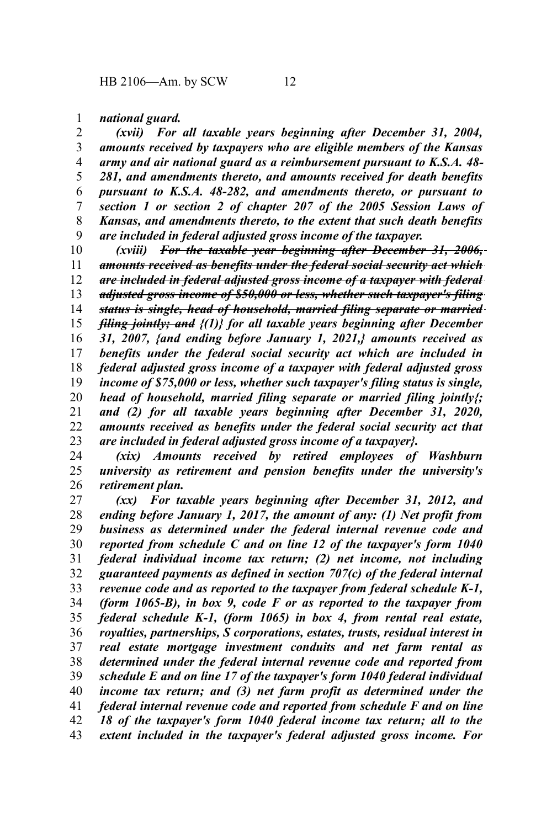*national guard.* 1

*(xvii) For all taxable years beginning after December 31, 2004, amounts received by taxpayers who are eligible members of the Kansas army and air national guard as a reimbursement pursuant to K.S.A. 48- 281, and amendments thereto, and amounts received for death benefits pursuant to K.S.A. 48-282, and amendments thereto, or pursuant to section 1 or section 2 of chapter 207 of the 2005 Session Laws of Kansas, and amendments thereto, to the extent that such death benefits are included in federal adjusted gross income of the taxpayer.* 2 3 4 5 6 7 8 9

*(xviii) For the taxable year beginning after December 31, 2006, amounts received as benefits under the federal social security act which are included in federal adjusted gross income of a taxpayer with federal adjusted gross income of \$50,000 or less, whether such taxpayer's filing status is single, head of household, married filing separate or married filing jointly; and {(1)} for all taxable years beginning after December 31, 2007, {and ending before January 1, 2021,} amounts received as benefits under the federal social security act which are included in federal adjusted gross income of a taxpayer with federal adjusted gross income of \$75,000 or less, whether such taxpayer's filing status is single, head of household, married filing separate or married filing jointly{; and (2) for all taxable years beginning after December 31, 2020, amounts received as benefits under the federal social security act that are included in federal adjusted gross income of a taxpayer}.* 10 11 12 13 14 15 16 17 18 19 20 21 22 23

*(xix) Amounts received by retired employees of Washburn university as retirement and pension benefits under the university's retirement plan.* 24 25 26

*(xx) For taxable years beginning after December 31, 2012, and ending before January 1, 2017, the amount of any: (1) Net profit from business as determined under the federal internal revenue code and reported from schedule C and on line 12 of the taxpayer's form 1040 federal individual income tax return; (2) net income, not including guaranteed payments as defined in section 707(c) of the federal internal revenue code and as reported to the taxpayer from federal schedule K-1, (form 1065-B), in box 9, code F or as reported to the taxpayer from federal schedule K-1, (form 1065) in box 4, from rental real estate, royalties, partnerships, S corporations, estates, trusts, residual interest in real estate mortgage investment conduits and net farm rental as determined under the federal internal revenue code and reported from schedule E and on line 17 of the taxpayer's form 1040 federal individual income tax return; and (3) net farm profit as determined under the federal internal revenue code and reported from schedule F and on line 18 of the taxpayer's form 1040 federal income tax return; all to the extent included in the taxpayer's federal adjusted gross income. For* 27 28 29 30 31 32 33 34 35 36 37 38 39 40 41 42 43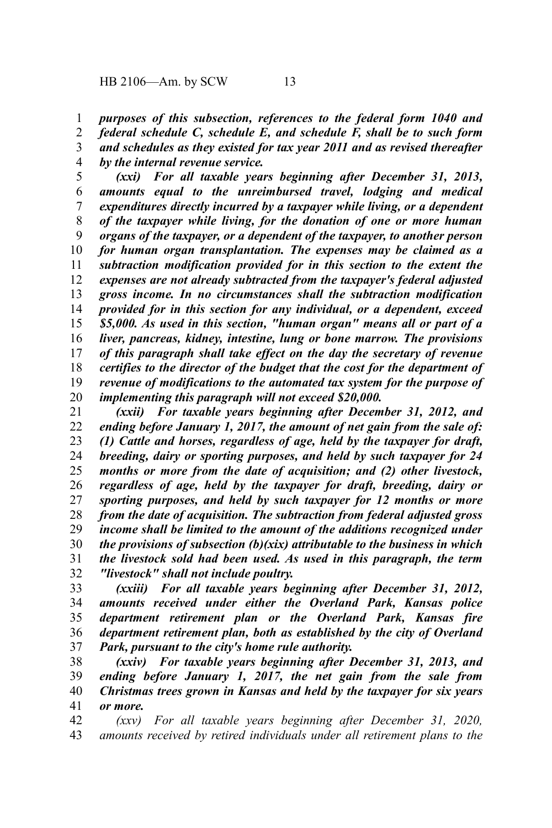*purposes of this subsection, references to the federal form 1040 and federal schedule C, schedule E, and schedule F, shall be to such form and schedules as they existed for tax year 2011 and as revised thereafter* 1 2 3

*by the internal revenue service.* 4

*(xxi) For all taxable years beginning after December 31, 2013, amounts equal to the unreimbursed travel, lodging and medical expenditures directly incurred by a taxpayer while living, or a dependent of the taxpayer while living, for the donation of one or more human organs of the taxpayer, or a dependent of the taxpayer, to another person for human organ transplantation. The expenses may be claimed as a subtraction modification provided for in this section to the extent the expenses are not already subtracted from the taxpayer's federal adjusted gross income. In no circumstances shall the subtraction modification provided for in this section for any individual, or a dependent, exceed \$5,000. As used in this section, "human organ" means all or part of a liver, pancreas, kidney, intestine, lung or bone marrow. The provisions of this paragraph shall take effect on the day the secretary of revenue certifies to the director of the budget that the cost for the department of revenue of modifications to the automated tax system for the purpose of implementing this paragraph will not exceed \$20,000.* 5 6 7 8 9 10 11 12 13 14 15 16 17 18 19 20

*(xxii) For taxable years beginning after December 31, 2012, and ending before January 1, 2017, the amount of net gain from the sale of: (1) Cattle and horses, regardless of age, held by the taxpayer for draft, breeding, dairy or sporting purposes, and held by such taxpayer for 24 months or more from the date of acquisition; and (2) other livestock, regardless of age, held by the taxpayer for draft, breeding, dairy or sporting purposes, and held by such taxpayer for 12 months or more from the date of acquisition. The subtraction from federal adjusted gross income shall be limited to the amount of the additions recognized under the provisions of subsection (b)(xix) attributable to the business in which the livestock sold had been used. As used in this paragraph, the term "livestock" shall not include poultry.* 21 22 23 24 25 26 27 28 29 30 31 32

*(xxiii) For all taxable years beginning after December 31, 2012, amounts received under either the Overland Park, Kansas police department retirement plan or the Overland Park, Kansas fire department retirement plan, both as established by the city of Overland Park, pursuant to the city's home rule authority.* 33 34 35 36 37

*(xxiv) For taxable years beginning after December 31, 2013, and ending before January 1, 2017, the net gain from the sale from Christmas trees grown in Kansas and held by the taxpayer for six years or more.* 38 39 40 41

*(xxv) For all taxable years beginning after December 31, 2020, amounts received by retired individuals under all retirement plans to the* 42 43